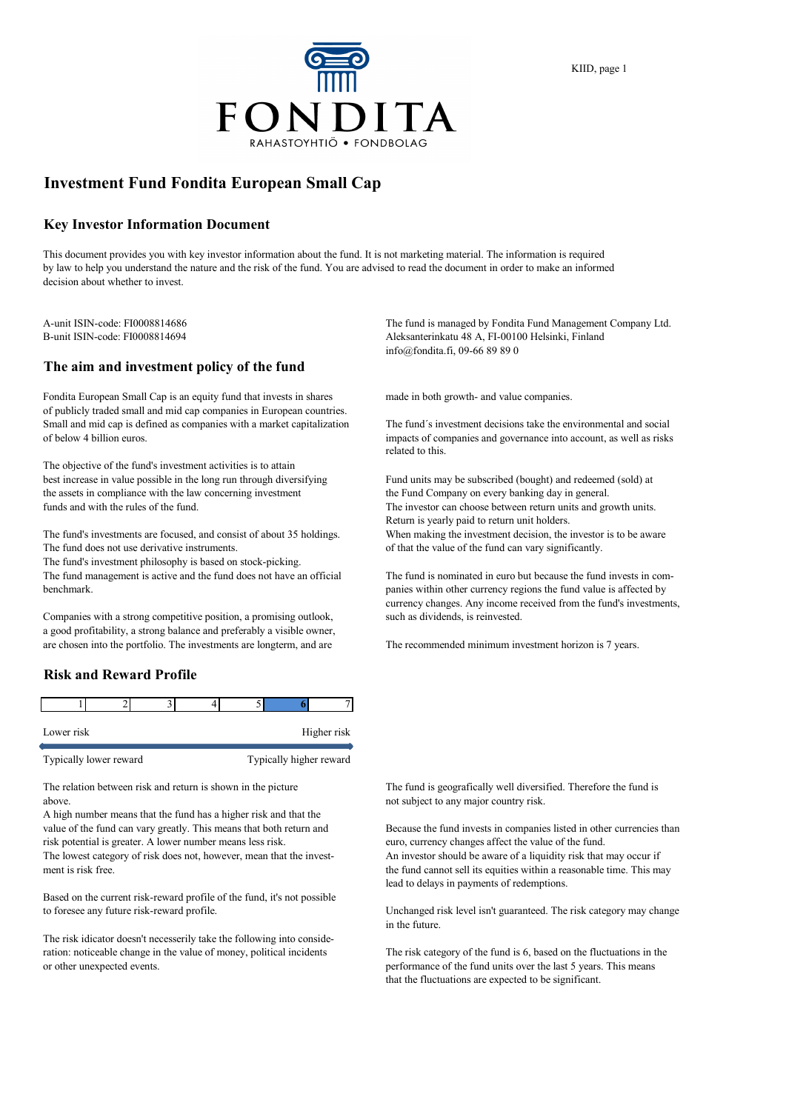

# **Investment Fund Fondita European Small Cap**

#### **Key Investor Information Document**

This document provides you with key investor information about the fund. It is not marketing material. The information is required by law to help you understand the nature and the risk of the fund. You are advised to read the document in order to make an informed decision about whether to invest.

### **The aim and investment policy of the fund**

Fondita European Small Cap is an equity fund that invests in shares made in both growth- and value companies. of publicly traded small and mid cap companies in European countries. Small and mid cap is defined as companies with a market capitalization The fund´s investment decisions take the environmental and social of below 4 billion euros. impacts of companies and governance into account, as well as risks

The objective of the fund's investment activities is to attain best increase in value possible in the long run through diversifying Fund units may be subscribed (bought) and redeemed (sold) at the assets in compliance with the law concerning investment the Fund Company on every banking day in general. funds and with the rules of the fund. The investor can choose between return units and growth units.

The fund's investments are focused, and consist of about 35 holdings. When making the investment decision, the investor is to be aware The fund does not use derivative instruments.  $\qquad \qquad$  of that the value of the fund can vary significantly.

The fund's investment philosophy is based on stock-picking.

The fund management is active and the fund does not have an official The fund is nominated in euro but because the fund invests in combenchmark. panies within other currency regions the fund value is affected by

Companies with a strong competitive position, a promising outlook, such as dividends, is reinvested. a good profitability, a strong balance and preferably a visible owner, are chosen into the portfolio. The investments are longterm, and are The recommended minimum investment horizon is 7 years.

### **Risk and Reward Profile**

| Lower risk |  |  | Higher risk |
|------------|--|--|-------------|

Typically lower reward Typically higher reward

above. The subject to any major country risk.

A high number means that the fund has a higher risk and that the value of the fund can vary greatly. This means that both return and Because the fund invests in companies listed in other currencies than risk potential is greater. A lower number means less risk. euro, currency changes affect the value of the fund. The lowest category of risk does not, however, mean that the invest- An investor should be aware of a liquidity risk that may occur if

Based on the current risk-reward profile of the fund, it's not possible to foresee any future risk-reward profile. Unchanged risk level isn't guaranteed. The risk category may change

The risk idicator doesn't necesserily take the following into consideration: noticeable change in the value of money, political incidents The risk category of the fund is 6, based on the fluctuations in the or other unexpected events. performance of the fund units over the last 5 years. This means

A-unit ISIN-code: FI0008814686 The fund is managed by Fondita Fund Management Company Ltd. B-unit ISIN-code: FI0008814694 Aleksanterinkatu 48 A, FI-00100 Helsinki, Finland info@fondita.fi, 09-66 89 89 0

related to this.

Return is yearly paid to return unit holders.

currency changes. Any income received from the fund's investments,

The relation between risk and return is shown in the picture The fund is geografically well diversified. Therefore the fund is

ment is risk free. the fund cannot sell its equities within a reasonable time. This may lead to delays in payments of redemptions.

in the future.

that the fluctuations are expected to be significant.